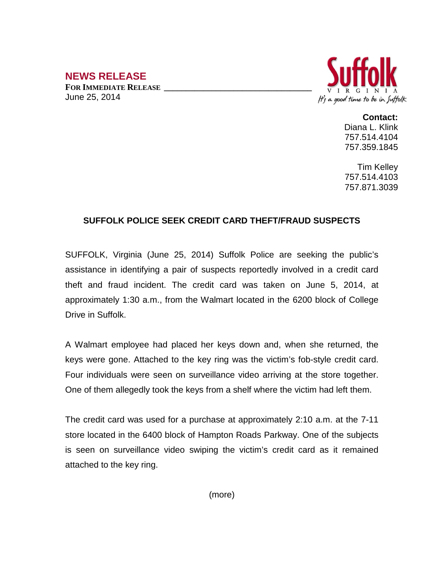## **NEWS RELEASE**

FOR **IMMEDIATE RELEASE** June 25, 2014



**Contact:**

Diana L. Klink 757.514.4104 757.359.1845

Tim Kelley 757.514.4103 757.871.3039

## **SUFFOLK POLICE SEEK CREDIT CARD THEFT/FRAUD SUSPECTS**

SUFFOLK, Virginia (June 25, 2014) Suffolk Police are seeking the public's assistance in identifying a pair of suspects reportedly involved in a credit card theft and fraud incident. The credit card was taken on June 5, 2014, at approximately 1:30 a.m., from the Walmart located in the 6200 block of College Drive in Suffolk.

A Walmart employee had placed her keys down and, when she returned, the keys were gone. Attached to the key ring was the victim's fob-style credit card. Four individuals were seen on surveillance video arriving at the store together. One of them allegedly took the keys from a shelf where the victim had left them.

The credit card was used for a purchase at approximately 2:10 a.m. at the 7-11 store located in the 6400 block of Hampton Roads Parkway. One of the subjects is seen on surveillance video swiping the victim's credit card as it remained attached to the key ring.

(more)